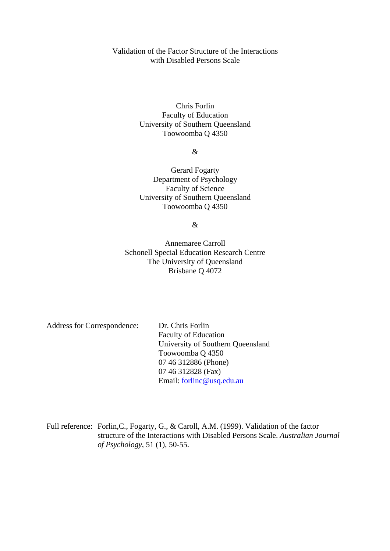# Validation of the Factor Structure of the Interactions with Disabled Persons Scale

Chris Forlin Faculty of Education University of Southern Queensland Toowoomba Q 4350

&

Gerard Fogarty Department of Psychology Faculty of Science University of Southern Queensland Toowoomba Q 4350

&

Annemaree Carroll Schonell Special Education Research Centre The University of Queensland Brisbane Q 4072

Address for Correspondence: Dr. Chris Forlin

 Faculty of Education University of Southern Queensland Toowoomba Q 4350 07 46 312886 (Phone) 07 46 312828 (Fax) Email: forlinc@usq.edu.au

Full reference: Forlin,C., Fogarty, G., & Caroll, A.M. (1999). Validation of the factor structure of the Interactions with Disabled Persons Scale. *Australian Journal of Psychology*, 51 (1), 50-55.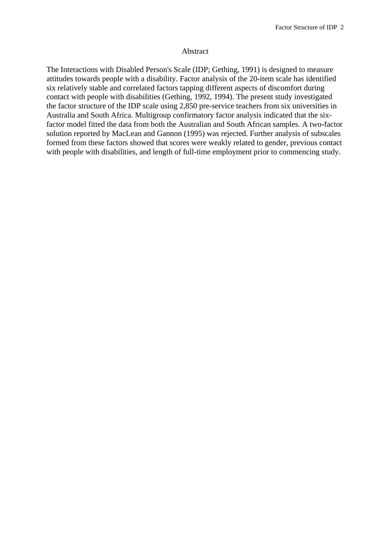#### Abstract

The Interactions with Disabled Person's Scale (IDP; Gething, 1991) is designed to measure attitudes towards people with a disability. Factor analysis of the 20-item scale has identified six relatively stable and correlated factors tapping different aspects of discomfort during contact with people with disabilities (Gething, 1992, 1994). The present study investigated the factor structure of the IDP scale using 2,850 pre-service teachers from six universities in Australia and South Africa. Multigroup confirmatory factor analysis indicated that the sixfactor model fitted the data from both the Australian and South African samples. A two-factor solution reported by MacLean and Gannon (1995) was rejected. Further analysis of subscales formed from these factors showed that scores were weakly related to gender, previous contact with people with disabilities, and length of full-time employment prior to commencing study.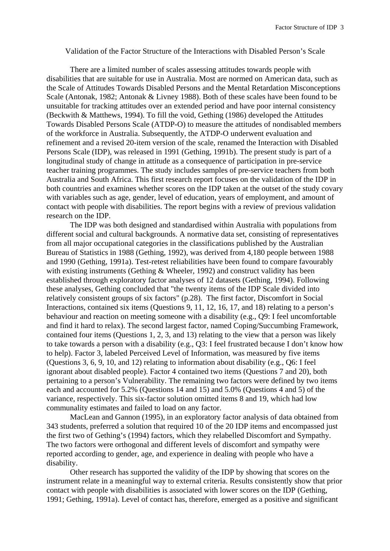Validation of the Factor Structure of the Interactions with Disabled Person's Scale

 There are a limited number of scales assessing attitudes towards people with disabilities that are suitable for use in Australia. Most are normed on American data, such as the Scale of Attitudes Towards Disabled Persons and the Mental Retardation Misconceptions Scale (Antonak, 1982; Antonak & Livney 1988). Both of these scales have been found to be unsuitable for tracking attitudes over an extended period and have poor internal consistency (Beckwith & Matthews, 1994). To fill the void, Gething (1986) developed the Attitudes Towards Disabled Persons Scale (ATDP-O) to measure the attitudes of nondisabled members of the workforce in Australia. Subsequently, the ATDP-O underwent evaluation and refinement and a revised 20-item version of the scale, renamed the Interaction with Disabled Persons Scale (IDP), was released in 1991 (Gething, 1991b). The present study is part of a longitudinal study of change in attitude as a consequence of participation in pre-service teacher training programmes. The study includes samples of pre-service teachers from both Australia and South Africa. This first research report focuses on the validation of the IDP in both countries and examines whether scores on the IDP taken at the outset of the study covary with variables such as age, gender, level of education, years of employment, and amount of contact with people with disabilities. The report begins with a review of previous validation research on the IDP.

 The IDP was both designed and standardised within Australia with populations from different social and cultural backgrounds. A normative data set, consisting of representatives from all major occupational categories in the classifications published by the Australian Bureau of Statistics in 1988 (Gething, 1992), was derived from 4,180 people between 1988 and 1990 (Gething, 1991a). Test-retest reliabilities have been found to compare favourably with existing instruments (Gething & Wheeler, 1992) and construct validity has been established through exploratory factor analyses of 12 datasets (Gething, 1994). Following these analyses, Gething concluded that "the twenty items of the IDP Scale divided into relatively consistent groups of six factors" (p.28). The first factor, Discomfort in Social Interactions, contained six items (Questions 9, 11, 12, 16, 17, and 18) relating to a person's behaviour and reaction on meeting someone with a disability (e.g., Q9: I feel uncomfortable and find it hard to relax). The second largest factor, named Coping/Succumbing Framework, contained four items (Questions 1, 2, 3, and 13) relating to the view that a person was likely to take towards a person with a disability (e.g., Q3: I feel frustrated because I don't know how to help). Factor 3, labeled Perceived Level of Information, was measured by five items (Questions 3, 6, 9, 10, and 12) relating to information about disability (e.g., Q6: I feel ignorant about disabled people). Factor 4 contained two items (Questions 7 and 20), both pertaining to a person's Vulnerability. The remaining two factors were defined by two items each and accounted for 5.2% (Questions 14 and 15) and 5.0% (Questions 4 and 5) of the variance, respectively. This six-factor solution omitted items 8 and 19, which had low communality estimates and failed to load on any factor.

MacLean and Gannon (1995), in an exploratory factor analysis of data obtained from 343 students, preferred a solution that required 10 of the 20 IDP items and encompassed just the first two of Gething's (1994) factors, which they relabelled Discomfort and Sympathy. The two factors were orthogonal and different levels of discomfort and sympathy were reported according to gender, age, and experience in dealing with people who have a disability.

 Other research has supported the validity of the IDP by showing that scores on the instrument relate in a meaningful way to external criteria. Results consistently show that prior contact with people with disabilities is associated with lower scores on the IDP (Gething, 1991; Gething, 1991a). Level of contact has, therefore, emerged as a positive and significant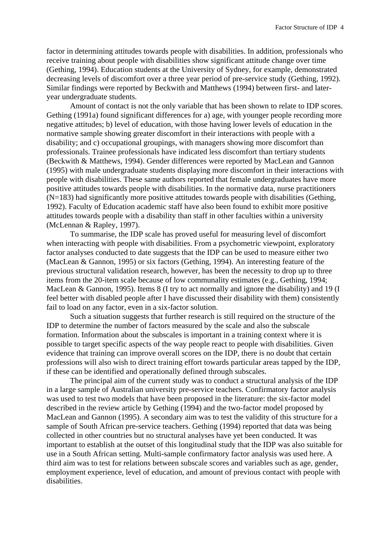factor in determining attitudes towards people with disabilities. In addition, professionals who receive training about people with disabilities show significant attitude change over time (Gething, 1994). Education students at the University of Sydney, for example, demonstrated decreasing levels of discomfort over a three year period of pre-service study (Gething, 1992). Similar findings were reported by Beckwith and Matthews (1994) between first- and lateryear undergraduate students.

 Amount of contact is not the only variable that has been shown to relate to IDP scores. Gething (1991a) found significant differences for a) age, with younger people recording more negative attitudes; b) level of education, with those having lower levels of education in the normative sample showing greater discomfort in their interactions with people with a disability; and c) occupational groupings, with managers showing more discomfort than professionals. Trainee professionals have indicated less discomfort than tertiary students (Beckwith & Matthews, 1994). Gender differences were reported by MacLean and Gannon (1995) with male undergraduate students displaying more discomfort in their interactions with people with disabilities. These same authors reported that female undergraduates have more positive attitudes towards people with disabilities. In the normative data, nurse practitioners  $(N=183)$  had significantly more positive attitudes towards people with disabilities (Gething, 1992). Faculty of Education academic staff have also been found to exhibit more positive attitudes towards people with a disability than staff in other faculties within a university (McLennan & Rapley, 1997).

 To summarise, the IDP scale has proved useful for measuring level of discomfort when interacting with people with disabilities. From a psychometric viewpoint, exploratory factor analyses conducted to date suggests that the IDP can be used to measure either two (MacLean & Gannon, 1995) or six factors (Gething, 1994). An interesting feature of the previous structural validation research, however, has been the necessity to drop up to three items from the 20-item scale because of low communality estimates (e.g., Gething, 1994; MacLean & Gannon, 1995). Items 8 (I try to act normally and ignore the disability) and 19 (I feel better with disabled people after I have discussed their disability with them) consistently fail to load on any factor, even in a six-factor solution.

Such a situation suggests that further research is still required on the structure of the IDP to determine the number of factors measured by the scale and also the subscale formation. Information about the subscales is important in a training context where it is possible to target specific aspects of the way people react to people with disabilities. Given evidence that training can improve overall scores on the IDP, there is no doubt that certain professions will also wish to direct training effort towards particular areas tapped by the IDP, if these can be identified and operationally defined through subscales.

 The principal aim of the current study was to conduct a structural analysis of the IDP in a large sample of Australian university pre-service teachers. Confirmatory factor analysis was used to test two models that have been proposed in the literature: the six-factor model described in the review article by Gething (1994) and the two-factor model proposed by MacLean and Gannon (1995). A secondary aim was to test the validity of this structure for a sample of South African pre-service teachers. Gething (1994) reported that data was being collected in other countries but no structural analyses have yet been conducted. It was important to establish at the outset of this longitudinal study that the IDP was also suitable for use in a South African setting. Multi-sample confirmatory factor analysis was used here. A third aim was to test for relations between subscale scores and variables such as age, gender, employment experience, level of education, and amount of previous contact with people with disabilities.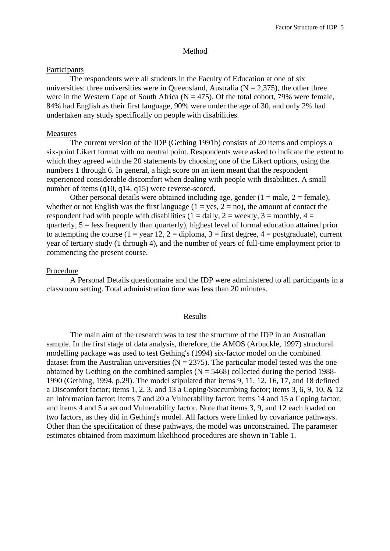#### Method

# Participants

 The respondents were all students in the Faculty of Education at one of six universities: three universities were in Queensland, Australia ( $N = 2,375$ ), the other three were in the Western Cape of South Africa ( $N = 475$ ). Of the total cohort, 79% were female, 84% had English as their first language, 90% were under the age of 30, and only 2% had undertaken any study specifically on people with disabilities.

# Measures

 The current version of the IDP (Gething 1991b) consists of 20 items and employs a six-point Likert format with no neutral point. Respondents were asked to indicate the extent to which they agreed with the 20 statements by choosing one of the Likert options, using the numbers 1 through 6. In general, a high score on an item meant that the respondent experienced considerable discomfort when dealing with people with disabilities. A small number of items (q10, q14, q15) were reverse-scored.

Other personal details were obtained including age, gender  $(1 = male, 2 = female)$ , whether or not English was the first language  $(1 = yes, 2 = no)$ , the amount of contact the respondent had with people with disabilities (1 = daily, 2 = weekly, 3 = monthly, 4 = quarterly,  $5 =$  less frequently than quarterly), highest level of formal education attained prior to attempting the course (1 = year 12, 2 = diploma, 3 = first degree, 4 = postgraduate), current year of tertiary study (1 through 4), and the number of years of full-time employment prior to commencing the present course.

### Procedure

 A Personal Details questionnaire and the IDP were administered to all participants in a classroom setting. Total administration time was less than 20 minutes.

### Results

 The main aim of the research was to test the structure of the IDP in an Australian sample. In the first stage of data analysis, therefore, the AMOS (Arbuckle, 1997) structural modelling package was used to test Gething's (1994) six-factor model on the combined dataset from the Australian universities ( $N = 2375$ ). The particular model tested was the one obtained by Gething on the combined samples  $(N = 5468)$  collected during the period 1988-1990 (Gething, 1994, p.29). The model stipulated that items 9, 11, 12, 16, 17, and 18 defined a Discomfort factor; items 1, 2, 3, and 13 a Coping/Succumbing factor; items 3, 6, 9, 10, & 12 an Information factor; items 7 and 20 a Vulnerability factor; items 14 and 15 a Coping factor; and items 4 and 5 a second Vulnerability factor. Note that items 3, 9, and 12 each loaded on two factors, as they did in Gething's model. All factors were linked by covariance pathways. Other than the specification of these pathways, the model was unconstrained. The parameter estimates obtained from maximum likelihood procedures are shown in Table 1.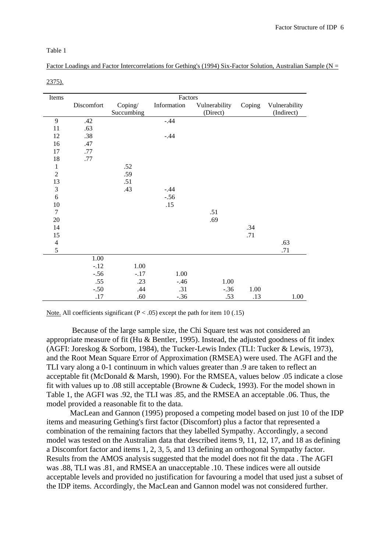#### Table 1

| Factor Loadings and Factor Intercorrelations for Gething's (1994) Six-Factor Solution, Australian Sample (N = |  |  |
|---------------------------------------------------------------------------------------------------------------|--|--|
|                                                                                                               |  |  |

| Items                       | Factors    |            |             |               |        |               |  |
|-----------------------------|------------|------------|-------------|---------------|--------|---------------|--|
|                             | Discomfort | Coping/    | Information | Vulnerability | Coping | Vulnerability |  |
|                             |            | Succumbing |             | (Direct)      |        | (Indirect)    |  |
| 9                           | .42        |            | $-.44$      |               |        |               |  |
| $11\,$                      | .63        |            |             |               |        |               |  |
| 12                          | .38        |            | $-.44$      |               |        |               |  |
| 16                          | .47        |            |             |               |        |               |  |
| 17                          | .77        |            |             |               |        |               |  |
| 18                          | .77        |            |             |               |        |               |  |
| $\mathbf{1}$                |            | .52        |             |               |        |               |  |
| $\overline{2}$              |            | .59        |             |               |        |               |  |
| 13                          |            | .51        |             |               |        |               |  |
| $\ensuremath{\mathfrak{Z}}$ |            | .43        | $-.44$      |               |        |               |  |
| 6                           |            |            | $-.56$      |               |        |               |  |
| 10                          |            |            | .15         |               |        |               |  |
| $\tau$                      |            |            |             | .51           |        |               |  |
| 20                          |            |            |             | .69           |        |               |  |
| 14                          |            |            |             |               | .34    |               |  |
| 15                          |            |            |             |               | .71    |               |  |
| $\overline{4}$              |            |            |             |               |        | .63           |  |
| 5                           |            |            |             |               |        | .71           |  |
|                             | 1.00       |            |             |               |        |               |  |
|                             | $-.12$     | 1.00       |             |               |        |               |  |
|                             | $-.56$     | $-.17$     | 1.00        |               |        |               |  |
|                             | .55        | .23        | $-.46$      | 1.00          |        |               |  |
|                             | $-.50$     | .44        | .31         | $-.36$        | 1.00   |               |  |
|                             | .17        | .60        | $-.36$      | .53           | .13    | 1.00          |  |

2375).

Note. All coefficients significant ( $P < .05$ ) except the path for item 10 (.15)

 Because of the large sample size, the Chi Square test was not considered an appropriate measure of fit (Hu & Bentler, 1995). Instead, the adjusted goodness of fit index (AGFI: Joreskog & Sorbom, 1984), the Tucker-Lewis Index (TLI: Tucker & Lewis, 1973), and the Root Mean Square Error of Approximation (RMSEA) were used. The AGFI and the TLI vary along a 0-1 continuum in which values greater than .9 are taken to reflect an acceptable fit (McDonald & Marsh, 1990). For the RMSEA, values below .05 indicate a close fit with values up to .08 still acceptable (Browne & Cudeck, 1993). For the model shown in Table 1, the AGFI was .92, the TLI was .85, and the RMSEA an acceptable .06. Thus, the model provided a reasonable fit to the data.

 MacLean and Gannon (1995) proposed a competing model based on just 10 of the IDP items and measuring Gething's first factor (Discomfort) plus a factor that represented a combination of the remaining factors that they labelled Sympathy. Accordingly, a second model was tested on the Australian data that described items 9, 11, 12, 17, and 18 as defining a Discomfort factor and items 1, 2, 3, 5, and 13 defining an orthogonal Sympathy factor. Results from the AMOS analysis suggested that the model does not fit the data . The AGFI was .88, TLI was .81, and RMSEA an unacceptable .10. These indices were all outside acceptable levels and provided no justification for favouring a model that used just a subset of the IDP items. Accordingly, the MacLean and Gannon model was not considered further.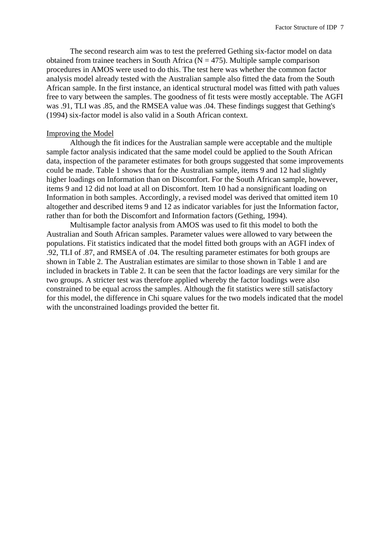The second research aim was to test the preferred Gething six-factor model on data obtained from trainee teachers in South Africa ( $N = 475$ ). Multiple sample comparison procedures in AMOS were used to do this. The test here was whether the common factor analysis model already tested with the Australian sample also fitted the data from the South African sample. In the first instance, an identical structural model was fitted with path values free to vary between the samples. The goodness of fit tests were mostly acceptable. The AGFI was .91, TLI was .85, and the RMSEA value was .04. These findings suggest that Gething's (1994) six-factor model is also valid in a South African context.

### Improving the Model

Although the fit indices for the Australian sample were acceptable and the multiple sample factor analysis indicated that the same model could be applied to the South African data, inspection of the parameter estimates for both groups suggested that some improvements could be made. Table 1 shows that for the Australian sample, items 9 and 12 had slightly higher loadings on Information than on Discomfort. For the South African sample, however, items 9 and 12 did not load at all on Discomfort. Item 10 had a nonsignificant loading on Information in both samples. Accordingly, a revised model was derived that omitted item 10 altogether and described items 9 and 12 as indicator variables for just the Information factor, rather than for both the Discomfort and Information factors (Gething, 1994).

Multisample factor analysis from AMOS was used to fit this model to both the Australian and South African samples. Parameter values were allowed to vary between the populations. Fit statistics indicated that the model fitted both groups with an AGFI index of .92, TLI of .87, and RMSEA of .04. The resulting parameter estimates for both groups are shown in Table 2. The Australian estimates are similar to those shown in Table 1 and are included in brackets in Table 2. It can be seen that the factor loadings are very similar for the two groups. A stricter test was therefore applied whereby the factor loadings were also constrained to be equal across the samples. Although the fit statistics were still satisfactory for this model, the difference in Chi square values for the two models indicated that the model with the unconstrained loadings provided the better fit.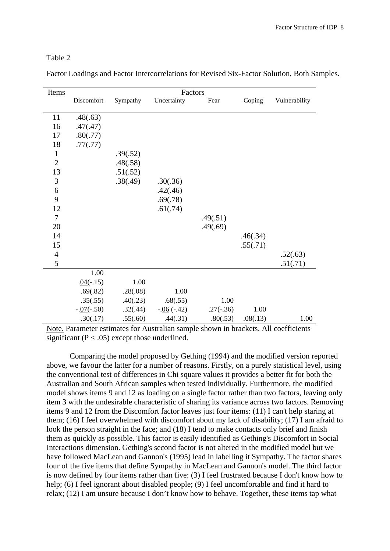| e i |  |
|-----|--|
|     |  |

| Items          | Factors      |          |              |             |          |               |  |
|----------------|--------------|----------|--------------|-------------|----------|---------------|--|
|                | Discomfort   | Sympathy | Uncertainty  | Fear        | Coping   | Vulnerability |  |
| 11             | .48(.63)     |          |              |             |          |               |  |
| 16             | .47(.47)     |          |              |             |          |               |  |
| 17             | .80(.77)     |          |              |             |          |               |  |
| 18             | .77(.77)     |          |              |             |          |               |  |
| $\mathbf{1}$   |              | .39(.52) |              |             |          |               |  |
| $\overline{2}$ |              | .48(.58) |              |             |          |               |  |
| 13             |              | .51(.52) |              |             |          |               |  |
| 3              |              | .38(.49) | .30(.36)     |             |          |               |  |
| 6              |              |          | .42(.46)     |             |          |               |  |
| 9              |              |          | .69(.78)     |             |          |               |  |
| 12             |              |          | .61(.74)     |             |          |               |  |
| $\overline{7}$ |              |          |              | .49(.51)    |          |               |  |
| 20             |              |          |              | .49(.69)    |          |               |  |
| 14             |              |          |              |             | .46(.34) |               |  |
| 15             |              |          |              |             | .55(.71) |               |  |
| $\overline{4}$ |              |          |              |             |          | .52(.63)      |  |
| 5              |              |          |              |             |          | .51(.71)      |  |
|                | 1.00         |          |              |             |          |               |  |
|                | $.04(-.15)$  | 1.00     |              |             |          |               |  |
|                | .69(.82)     | .28(.08) | 1.00         |             |          |               |  |
|                | .35(.55)     | .40(.23) | .68(.55)     | 1.00        |          |               |  |
|                | $-.07(-.50)$ | .32(.44) | $-.06(-.42)$ | $.27(-.36)$ | 1.00     |               |  |
|                | .30(.17)     | .55(.60) | .44(.31)     | .80(.53)    | .08(.13) | 1.00          |  |

Factor Loadings and Factor Intercorrelations for Revised Six-Factor Solution, Both Samples.

Note. Parameter estimates for Australian sample shown in brackets. All coefficients significant ( $P < .05$ ) except those underlined.

Comparing the model proposed by Gething (1994) and the modified version reported above, we favour the latter for a number of reasons. Firstly, on a purely statistical level, using the conventional test of differences in Chi square values it provides a better fit for both the Australian and South African samples when tested individually. Furthermore, the modified model shows items 9 and 12 as loading on a single factor rather than two factors, leaving only item 3 with the undesirable characteristic of sharing its variance across two factors. Removing items 9 and 12 from the Discomfort factor leaves just four items: (11) I can't help staring at them; (16) I feel overwhelmed with discomfort about my lack of disability; (17) I am afraid to look the person straight in the face; and (18) I tend to make contacts only brief and finish them as quickly as possible. This factor is easily identified as Gething's Discomfort in Social Interactions dimension. Gething's second factor is not altered in the modified model but we have followed MacLean and Gannon's (1995) lead in labelling it Sympathy. The factor shares four of the five items that define Sympathy in MacLean and Gannon's model. The third factor is now defined by four items rather than five: (3) I feel frustrated because I don't know how to help; (6) I feel ignorant about disabled people; (9) I feel uncomfortable and find it hard to relax; (12) I am unsure because I don't know how to behave. Together, these items tap what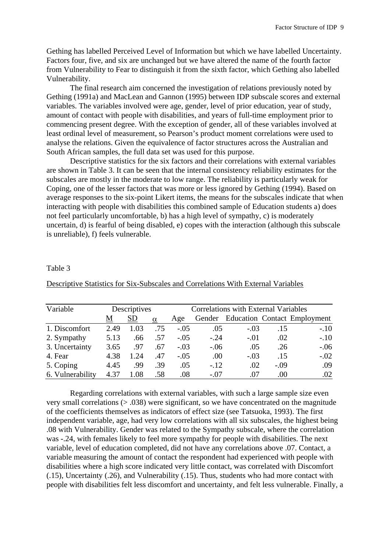Gething has labelled Perceived Level of Information but which we have labelled Uncertainty. Factors four, five, and six are unchanged but we have altered the name of the fourth factor from Vulnerability to Fear to distinguish it from the sixth factor, which Gething also labelled Vulnerability.

 The final research aim concerned the investigation of relations previously noted by Gething (1991a) and MacLean and Gannon (1995) between IDP subscale scores and external variables. The variables involved were age, gender, level of prior education, year of study, amount of contact with people with disabilities, and years of full-time employment prior to commencing present degree. With the exception of gender, all of these variables involved at least ordinal level of measurement, so Pearson's product moment correlations were used to analyse the relations. Given the equivalence of factor structures across the Australian and South African samples, the full data set was used for this purpose.

Descriptive statistics for the six factors and their correlations with external variables are shown in Table 3. It can be seen that the internal consistency reliability estimates for the subscales are mostly in the moderate to low range. The reliability is particularly weak for Coping, one of the lesser factors that was more or less ignored by Gething (1994). Based on average responses to the six-point Likert items, the means for the subscales indicate that when interacting with people with disabilities this combined sample of Education students a) does not feel particularly uncomfortable, b) has a high level of sympathy, c) is moderately uncertain, d) is fearful of being disabled, e) copes with the interaction (although this subscale is unreliable), f) feels vulnerable.

# Table 3

| Variable         |      | Descriptives |          | <b>Correlations with External Variables</b> |        |        |        |                                     |
|------------------|------|--------------|----------|---------------------------------------------|--------|--------|--------|-------------------------------------|
|                  | M    | <b>SD</b>    | $\alpha$ | Age                                         |        |        |        | Gender Education Contact Employment |
| 1. Discomfort    | 2.49 | 1.03         | .75      | $-.05$                                      | .05    | $-.03$ | .15    | $-.10$                              |
| 2. Sympathy      | 5.13 | .66          | .57      | $-.05$                                      | $-.24$ | $-.01$ | .02    | $-.10$                              |
| 3. Uncertainty   | 3.65 | .97          | .67      | $-.03$                                      | $-.06$ | .05    | .26    | $-.06$                              |
| 4. Fear          | 4.38 | 1.24         | .47      | $-.05$                                      | .00.   | $-.03$ | .15    | $-.02$                              |
| 5. Coping        | 4.45 | .99          | .39      | .05                                         | $-.12$ | .02    | $-.09$ | .09                                 |
| 6. Vulnerability | 4.37 | 1.08         | .58      | .08                                         | $-.07$ | .07    | .00    | .02                                 |

Descriptive Statistics for Six-Subscales and Correlations With External Variables

Regarding correlations with external variables, with such a large sample size even very small correlations (> .038) were significant, so we have concentrated on the magnitude of the coefficients themselves as indicators of effect size (see Tatsuoka, 1993). The first independent variable, age, had very low correlations with all six subscales, the highest being .08 with Vulnerability. Gender was related to the Sympathy subscale, where the correlation was -.24, with females likely to feel more sympathy for people with disabilities. The next variable, level of education completed, did not have any correlations above .07. Contact, a variable measuring the amount of contact the respondent had experienced with people with disabilities where a high score indicated very little contact, was correlated with Discomfort (.15), Uncertainty (.26), and Vulnerability (.15). Thus, students who had more contact with people with disabilities felt less discomfort and uncertainty, and felt less vulnerable. Finally, a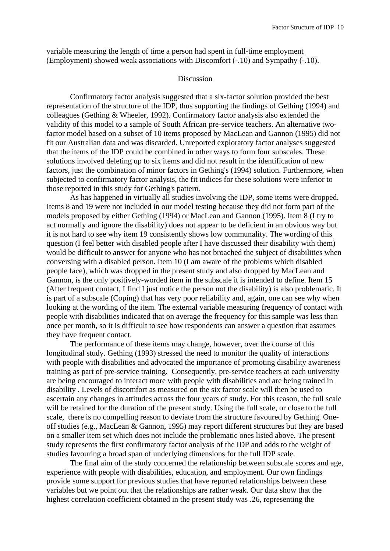variable measuring the length of time a person had spent in full-time employment (Employment) showed weak associations with Discomfort (-.10) and Sympathy (-.10).

### Discussion

 Confirmatory factor analysis suggested that a six-factor solution provided the best representation of the structure of the IDP, thus supporting the findings of Gething (1994) and colleagues (Gething & Wheeler, 1992). Confirmatory factor analysis also extended the validity of this model to a sample of South African pre-service teachers. An alternative twofactor model based on a subset of 10 items proposed by MacLean and Gannon (1995) did not fit our Australian data and was discarded. Unreported exploratory factor analyses suggested that the items of the IDP could be combined in other ways to form four subscales. These solutions involved deleting up to six items and did not result in the identification of new factors, just the combination of minor factors in Gething's (1994) solution. Furthermore, when subjected to confirmatory factor analysis, the fit indices for these solutions were inferior to those reported in this study for Gething's pattern.

As has happened in virtually all studies involving the IDP, some items were dropped. Items 8 and 19 were not included in our model testing because they did not form part of the models proposed by either Gething (1994) or MacLean and Gannon (1995). Item 8 (I try to act normally and ignore the disability) does not appear to be deficient in an obvious way but it is not hard to see why item 19 consistently shows low communality. The wording of this question (I feel better with disabled people after I have discussed their disability with them) would be difficult to answer for anyone who has not broached the subject of disabilities when conversing with a disabled person. Item 10 (I am aware of the problems which disabled people face), which was dropped in the present study and also dropped by MacLean and Gannon, is the only positively-worded item in the subscale it is intended to define. Item 15 (After frequent contact, I find I just notice the person not the disability) is also problematic. It is part of a subscale (Coping) that has very poor reliability and, again, one can see why when looking at the wording of the item. The external variable measuring frequency of contact with people with disabilities indicated that on average the frequency for this sample was less than once per month, so it is difficult to see how respondents can answer a question that assumes they have frequent contact.

The performance of these items may change, however, over the course of this longitudinal study. Gething (1993) stressed the need to monitor the quality of interactions with people with disabilities and advocated the importance of promoting disability awareness training as part of pre-service training. Consequently, pre-service teachers at each university are being encouraged to interact more with people with disabilities and are being trained in disability . Levels of discomfort as measured on the six factor scale will then be used to ascertain any changes in attitudes across the four years of study. For this reason, the full scale will be retained for the duration of the present study. Using the full scale, or close to the full scale, there is no compelling reason to deviate from the structure favoured by Gething. Oneoff studies (e.g., MacLean & Gannon, 1995) may report different structures but they are based on a smaller item set which does not include the problematic ones listed above. The present study represents the first confirmatory factor analysis of the IDP and adds to the weight of studies favouring a broad span of underlying dimensions for the full IDP scale.

 The final aim of the study concerned the relationship between subscale scores and age, experience with people with disabilities, education, and employment. Our own findings provide some support for previous studies that have reported relationships between these variables but we point out that the relationships are rather weak. Our data show that the highest correlation coefficient obtained in the present study was .26, representing the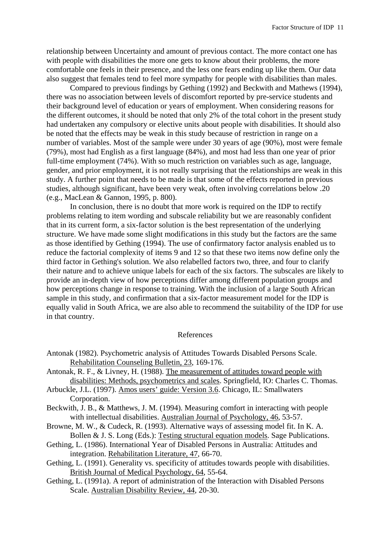relationship between Uncertainty and amount of previous contact. The more contact one has with people with disabilities the more one gets to know about their problems, the more comfortable one feels in their presence, and the less one fears ending up like them. Our data also suggest that females tend to feel more sympathy for people with disabilities than males.

 Compared to previous findings by Gething (1992) and Beckwith and Mathews (1994), there was no association between levels of discomfort reported by pre-service students and their background level of education or years of employment. When considering reasons for the different outcomes, it should be noted that only 2% of the total cohort in the present study had undertaken any compulsory or elective units about people with disabilities. It should also be noted that the effects may be weak in this study because of restriction in range on a number of variables. Most of the sample were under 30 years of age (90%), most were female (79%), most had English as a first language (84%), and most had less than one year of prior full-time employment (74%). With so much restriction on variables such as age, language, gender, and prior employment, it is not really surprising that the relationships are weak in this study. A further point that needs to be made is that some of the effects reported in previous studies, although significant, have been very weak, often involving correlations below .20 (e.g., MacLean & Gannon, 1995, p. 800).

 In conclusion, there is no doubt that more work is required on the IDP to rectify problems relating to item wording and subscale reliability but we are reasonably confident that in its current form, a six-factor solution is the best representation of the underlying structure. We have made some slight modifications in this study but the factors are the same as those identified by Gething (1994). The use of confirmatory factor analysis enabled us to reduce the factorial complexity of items 9 and 12 so that these two items now define only the third factor in Gething's solution. We also relabelled factors two, three, and four to clarify their nature and to achieve unique labels for each of the six factors. The subscales are likely to provide an in-depth view of how perceptions differ among different population groups and how perceptions change in response to training. With the inclusion of a large South African sample in this study, and confirmation that a six-factor measurement model for the IDP is equally valid in South Africa, we are also able to recommend the suitability of the IDP for use in that country.

### References

- Antonak (1982). Psychometric analysis of Attitudes Towards Disabled Persons Scale. Rehabilitation Counseling Bulletin, 23, 169-176.
- Antonak, R. F., & Livney, H. (1988). The measurement of attitudes toward people with disabilities: Methods, psychometrics and scales. Springfield, IO: Charles C. Thomas.
- Arbuckle, J.L. (1997). Amos users' guide: Version 3.6. Chicago, IL: Smallwaters Corporation.
- Beckwith, J. B., & Matthews, J. M. (1994). Measuring comfort in interacting with people with intellectual disabilities. Australian Journal of Psychology, 46, 53-57.
- Browne, M. W., & Cudeck, R. (1993). Alternative ways of assessing model fit. In K. A. Bollen & J. S. Long (Eds.): Testing structural equation models. Sage Publications.
- Gething, L. (1986). International Year of Disabled Persons in Australia: Attitudes and integration. Rehabilitation Literature, 47, 66-70.
- Gething, L. (1991). Generality vs. specificity of attitudes towards people with disabilities. British Journal of Medical Psychology, 64, 55-64.
- Gething, L. (1991a). A report of administration of the Interaction with Disabled Persons Scale. Australian Disability Review, 44, 20-30.